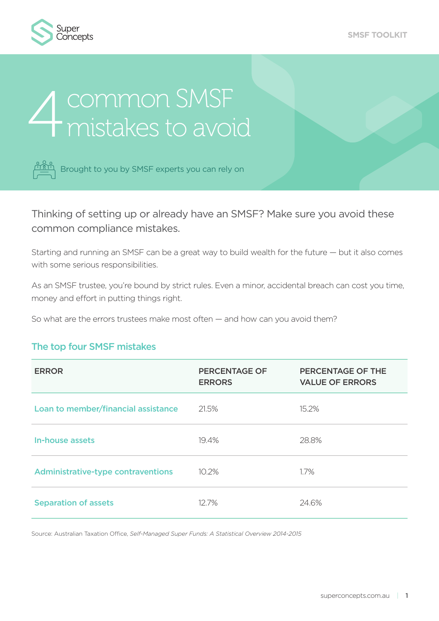

# **4** common SMSF<br>4 mistakes to avoid



Brought to you by SMSF experts you can rely on

Thinking of setting up or already have an SMSF? Make sure you avoid these common compliance mistakes.

Starting and running an SMSF can be a great way to build wealth for the future — but it also comes with some serious responsibilities.

As an SMSF trustee, you're bound by strict rules. Even a minor, accidental breach can cost you time, money and effort in putting things right.

So what are the errors trustees make most often — and how can you avoid them?

#### The top four SMSF mistakes

| <b>ERROR</b>                              | <b>PERCENTAGE OF</b><br><b>ERRORS</b> | PERCENTAGE OF THE<br><b>VALUE OF ERRORS</b> |
|-------------------------------------------|---------------------------------------|---------------------------------------------|
| Loan to member/financial assistance       | 21.5%                                 | 15.2%                                       |
| In-house assets                           | 19.4%                                 | 28.8%                                       |
| <b>Administrative-type contraventions</b> | 10.2%                                 | $1.7\%$                                     |
| <b>Separation of assets</b>               | $12.7\%$                              | 24.6%                                       |

Source: Australian Taxation Office, *Self-Managed Super Funds: A Statistical Overview 2014-2015*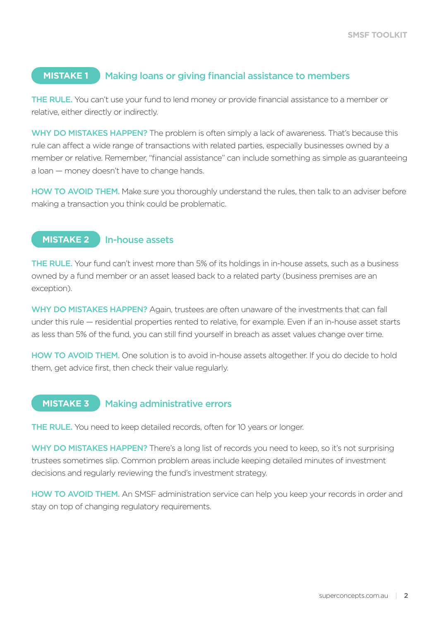#### **MISTAKE 1** Making loans or giving financial assistance to members

THE RULE. You can't use your fund to lend money or provide financial assistance to a member or relative, either directly or indirectly.

WHY DO MISTAKES HAPPEN? The problem is often simply a lack of awareness. That's because this rule can affect a wide range of transactions with related parties, especially businesses owned by a member or relative. Remember, "financial assistance" can include something as simple as guaranteeing a loan — money doesn't have to change hands.

HOW TO AVOID THEM. Make sure you thoroughly understand the rules, then talk to an adviser before making a transaction you think could be problematic.

#### **MISTAKE 2** In-house assets

THE RULE. Your fund can't invest more than 5% of its holdings in in-house assets, such as a business owned by a fund member or an asset leased back to a related party (business premises are an exception).

WHY DO MISTAKES HAPPEN? Again, trustees are often unaware of the investments that can fall under this rule — residential properties rented to relative, for example. Even if an in-house asset starts as less than 5% of the fund, you can still find yourself in breach as asset values change over time.

HOW TO AVOID THEM. One solution is to avoid in-house assets altogether. If you do decide to hold them, get advice first, then check their value regularly.

#### **MISTAKE 3** Making administrative errors

THE RULE. You need to keep detailed records, often for 10 years or longer.

WHY DO MISTAKES HAPPEN? There's a long list of records you need to keep, so it's not surprising trustees sometimes slip. Common problem areas include keeping detailed minutes of investment decisions and regularly reviewing the fund's investment strategy.

HOW TO AVOID THEM. An SMSF administration service can help you keep your records in order and stay on top of changing regulatory requirements.